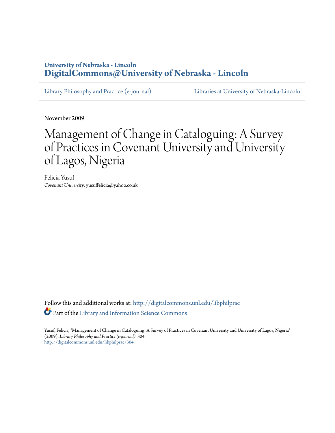# **University of Nebraska - Lincoln [DigitalCommons@University of Nebraska - Lincoln](http://digitalcommons.unl.edu?utm_source=digitalcommons.unl.edu%2Flibphilprac%2F304&utm_medium=PDF&utm_campaign=PDFCoverPages)**

[Library Philosophy and Practice \(e-journal\)](http://digitalcommons.unl.edu/libphilprac?utm_source=digitalcommons.unl.edu%2Flibphilprac%2F304&utm_medium=PDF&utm_campaign=PDFCoverPages) [Libraries at University of Nebraska-Lincoln](http://digitalcommons.unl.edu/libraries?utm_source=digitalcommons.unl.edu%2Flibphilprac%2F304&utm_medium=PDF&utm_campaign=PDFCoverPages)

November 2009

# Management of Change in Cataloguing: A Survey of Practices in Covenant University and University of Lagos, Nigeria

Felicia Yusuf *Covenant University*, yusuffelicia@yahoo.co.uk

Follow this and additional works at: [http://digitalcommons.unl.edu/libphilprac](http://digitalcommons.unl.edu/libphilprac?utm_source=digitalcommons.unl.edu%2Flibphilprac%2F304&utm_medium=PDF&utm_campaign=PDFCoverPages) Part of the [Library and Information Science Commons](http://network.bepress.com/hgg/discipline/1018?utm_source=digitalcommons.unl.edu%2Flibphilprac%2F304&utm_medium=PDF&utm_campaign=PDFCoverPages)

Yusuf, Felicia, "Management of Change in Cataloguing: A Survey of Practices in Covenant University and University of Lagos, Nigeria" (2009). *Library Philosophy and Practice (e-journal)*. 304. [http://digitalcommons.unl.edu/libphilprac/304](http://digitalcommons.unl.edu/libphilprac/304?utm_source=digitalcommons.unl.edu%2Flibphilprac%2F304&utm_medium=PDF&utm_campaign=PDFCoverPages)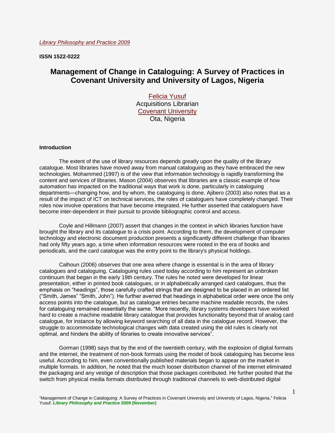**ISSN 1522-0222**

# **Management of Change in Cataloguing: A Survey of Practices in Covenant University and University of Lagos, Nigeria**

[Felicia Yusuf](mailto:yusuffelicia@yahoo.co.uk) Acquisitions Librarian [Covenant University](http://www.covenantuniversity.com/) Ota, Nigeria

## **Introduction**

The extent of the use of library resources depends greatly upon the quality of the library catalogue. Most libraries have moved away from manual cataloguing as they have embraced the new technologies. Mohammed (1997) is of the view that information technology is rapidly transforming the content and services of libraries. Mason (2004) observes that libraries are a classic example of how automation has impacted on the traditional ways that work is done, particularly in cataloguing departments—changing how, and by whom, the cataloguing is done. Ajibero (2003) also notes that as a result of the impact of ICT on technical services, the roles of cataloguers have completely changed. Their roles now involve operations that have become integrated. He further asserted that cataloguers have become inter-dependent in their pursuit to provide bibliographic control and access.

Coyle and Hillmann (2007) assert that changes in the context in which libraries function have brought the library and its catalogue to a crisis point. According to them, the development of computer technology and electronic document production presents a significantly different challenge than libraries had only fifty years ago, a time when information resources were rooted in the era of books and periodicals, and the card catalogue was the entry point to the library's physical holdings.

Calhoun (2006) observes that one area where change is essential is in the area of library catalogues and cataloguing. Cataloguing rules used today according to him represent an unbroken continuum that began in the early 19th century. The rules he noted were developed for linear presentation, either in printed book catalogues, or in alphabetically arranged card catalogues, thus the emphasis on "headings", those carefully crafted strings that are designed to be placed in an ordered list ("Smith, James" "Smith, John"). He further averred that headings in alphabetical order were once the only access points into the catalogue, but as catalogue entries became machine readable records, the rules for cataloguing remained essentially the same. "More recently, library systems developers have worked hard to create a machine readable library catalogue that provides functionality beyond that of analog card catalogue, for instance by allowing keyword searching of all data in the catalogue record. However, the struggle to accommodate technological changes with data created using the old rules is clearly not optimal, and hinders the ability of libraries to create innovative services".

Gorman (1998) says that by the end of the twentieth century, with the explosion of digital formats and the internet, the treatment of non-book formats using the model of book cataloguing has become less useful. According to him, even conventionally published materials began to appear on the market in multiple formats. In addition, he noted that the much looser distribution channel of the internet eliminated the packaging and any vestige of description that those packages contributed. He further posited that the switch from physical media formats distributed through traditional channels to web-distributed digital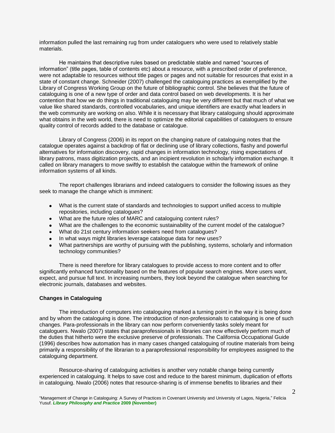information pulled the last remaining rug from under cataloguers who were used to relatively stable materials.

He maintains that descriptive rules based on predictable stable and named "sources of information" (title pages, table of contents etc) about a resource, with a prescribed order of preference, were not adaptable to resources without title pages or pages and not suitable for resources that exist in a state of constant change. Schneider (2007) challenged the cataloguing practices as exemplified by the Library of Congress Working Group on the future of bibliographic control. She believes that the future of cataloguing is one of a new type of order and data control based on web developments. It is her contention that how we do things in traditional cataloguing may be very different but that much of what we value like shared standards, controlled vocabularies, and unique identifiers are exactly what leaders in the web community are working on also. While it is necessary that library cataloguing should approximate what obtains in the web world, there is need to optimize the editorial capabilities of cataloguers to ensure quality control of records added to the database or catalogue.

Library of Congress (2006) in its report on the changing nature of cataloguing notes that the catalogue operates against a backdrop of flat or declining use of library collections, flashy and powerful alternatives for information discovery, rapid changes in information technology, rising expectations of library patrons, mass digitization projects, and an incipient revolution in scholarly information exchange. It called on library managers to move swiftly to establish the catalogue within the framework of online information systems of all kinds.

The report challenges librarians and indeed cataloguers to consider the following issues as they seek to manage the change which is imminent:

- What is the current state of standards and technologies to support unified access to multiple repositories, including catalogues?
- What are the future roles of MARC and cataloguing content rules?
- What are the challenges to the economic sustainability of the current model of the catalogue?
- What do 21st century information seekers need from catalogues?
- In what ways might libraries leverage catalogue data for new uses?
- What partnerships are worthy of pursuing with the publishing, systems, scholarly and information technology communities?

There is need therefore for library catalogues to provide access to more content and to offer significantly enhanced functionality based on the features of popular search engines. More users want, expect, and pursue full text. In increasing numbers, they look beyond the catalogue when searching for electronic journals, databases and websites.

#### **Changes in Cataloguing**

The introduction of computers into cataloguing marked a turning point in the way it is being done and by whom the cataloguing is done. The introduction of non-professionals to cataloguing is one of such changes. Para-professionals in the library can now perform conveniently tasks solely meant for cataloguers. Nwalo (2007) states that paraprofessionals in libraries can now effectively perform much of the duties that hitherto were the exclusive preserve of professionals. The California Occupational Guide (1996) describes how automation has in many cases changed cataloguing of routine materials from being primarily a responsibility of the librarian to a paraprofessional responsibility for employees assigned to the cataloguing department.

Resource-sharing of cataloguing activities is another very notable change being currently experienced in cataloguing. It helps to save cost and reduce to the barest minimum, duplication of efforts in cataloguing. Nwalo (2006) notes that resource-sharing is of immense benefits to libraries and their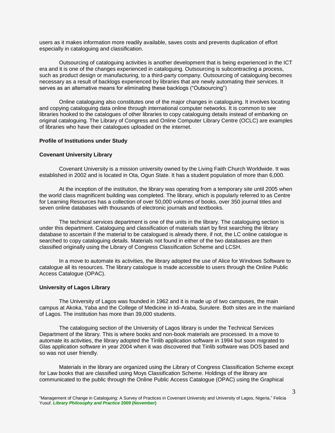users as it makes information more readily available, saves costs and prevents duplication of effort especially in cataloguing and classification.

Outsourcing of cataloguing activities is another development that is being experienced in the ICT era and it is one of the changes experienced in cataloguing. Outsourcing is subcontracting a process, such as product design or manufacturing, to a third-party company. Outsourcing of cataloguing becomes necessary as a result of backlogs experienced by libraries that are newly automating their services. It serves as an alternative means for eliminating these backlogs ("Outsourcing")

Online cataloguing also constitutes one of the major changes in cataloguing. It involves locating and copying cataloguing data online through international computer networks. It is common to see libraries hooked to the catalogues of other libraries to copy cataloguing details instead of embarking on original cataloguing. The Library of Congress and Online Computer Library Centre (OCLC) are examples of libraries who have their catalogues uploaded on the internet.

#### **Profile of Institutions under Study**

#### **Covenant University Library**

Covenant University is a mission university owned by the Living Faith Church Worldwide. It was established in 2002 and is located in Ota, Ogun State. It has a student population of more than 6,000.

At the inception of the institution, the library was operating from a temporary site until 2005 when the world class magnificent building was completed. The library, which is popularly referred to as Centre for Learning Resources has a collection of over 50,000 volumes of books, over 350 journal titles and seven online databases with thousands of electronic journals and textbooks.

The technical services department is one of the units in the library. The cataloguing section is under this department. Cataloguing and classification of materials start by first searching the library database to ascertain if the material to be catalogued is already there, if not, the LC online catalogue is searched to copy cataloguing details. Materials not found in either of the two databases are then classified originally using the Library of Congress Classification Scheme and LCSH.

In a move to automate its activities, the library adopted the use of Alice for Windows Software to catalogue all its resources. The library catalogue is made accessible to users through the Online Public Access Catalogue (OPAC).

## **University of Lagos Library**

The University of Lagos was founded in 1962 and it is made up of two campuses, the main campus at Akoka, Yaba and the College of Medicine in Idi-Araba, Surulere. Both sites are in the mainland of Lagos. The institution has more than 39,000 students.

The cataloguing section of the University of Lagos library is under the Technical Services Department of the library. This is where books and non-book materials are processed. In a move to automate its activities, the library adopted the Tinlib application software in 1994 but soon migrated to Glas application software in year 2004 when it was discovered that Tinlib software was DOS based and so was not user friendly.

Materials in the library are organized using the Library of Congress Classification Scheme except for Law books that are classified using Moys Classification Scheme. Holdings of the library are communicated to the public through the Online Public Access Catalogue (OPAC) using the Graphical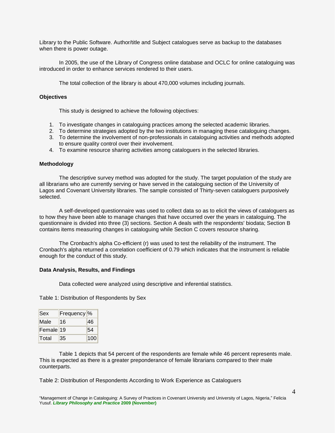Library to the Public Software. Author/title and Subject catalogues serve as backup to the databases when there is power outage.

In 2005, the use of the Library of Congress online database and OCLC for online cataloguing was introduced in order to enhance services rendered to their users.

The total collection of the library is about 470,000 volumes including journals.

### **Objectives**

This study is designed to achieve the following objectives:

- 1. To investigate changes in cataloguing practices among the selected academic libraries.
- 2. To determine strategies adopted by the two institutions in managing these cataloguing changes.
- 3. To determine the involvement of non-professionals in cataloguing activities and methods adopted to ensure quality control over their involvement.
- 4. To examine resource sharing activities among cataloguers in the selected libraries.

## **Methodology**

The descriptive survey method was adopted for the study. The target population of the study are all librarians who are currently serving or have served in the cataloguing section of the University of Lagos and Covenant University libraries. The sample consisted of Thirty-seven cataloguers purposively selected.

A self-developed questionnaire was used to collect data so as to elicit the views of cataloguers as to how they have been able to manage changes that have occurred over the years in cataloguing. The questionnaire is divided into three (3) sections. Section A deals with the respondents' biodata; Section B contains items measuring changes in cataloguing while Section C covers resource sharing.

The Cronbach's alpha Co-efficient (r) was used to test the reliability of the instrument. The Cronbach's alpha returned a correlation coefficient of 0.79 which indicates that the instrument is reliable enough for the conduct of this study.

#### **Data Analysis, Results, and Findings**

Data collected were analyzed using descriptive and inferential statistics.

Table 1: Distribution of Respondents by Sex

| <b>Sex</b>           | Frequency <sup>o</sup> |     |
|----------------------|------------------------|-----|
| Male                 | 16                     | 46  |
| Female <sup>19</sup> |                        | 54  |
| Total                | 35                     | 100 |

Table 1 depicts that 54 percent of the respondents are female while 46 percent represents male. This is expected as there is a greater preponderance of female librarians compared to their male counterparts.

Table 2: Distribution of Respondents According to Work Experience as Cataloguers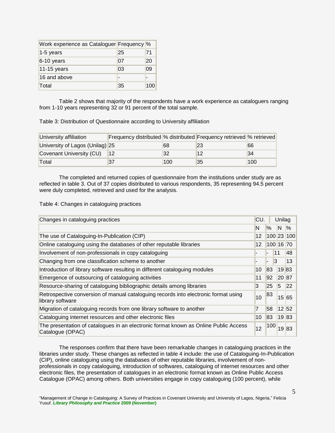| Work experience as Cataloguer Frequency % |    |     |
|-------------------------------------------|----|-----|
| $1-5$ years                               | 25 | 71  |
| $6-10$ years                              | 07 | 20  |
| $11-15$ years                             | 03 | 09  |
| 16 and above                              |    |     |
| Total                                     | 35 | 100 |

Table 2 shows that majority of the respondents have a work experience as cataloguers ranging from 1-10 years representing 32 or 91 percent of the total sample.

Table 3: Distribution of Questionnaire according to University affiliation

| University affiliation          | Frequency distributed % distributed Frequency retrieved % retrieved |     |    |     |
|---------------------------------|---------------------------------------------------------------------|-----|----|-----|
| University of Lagos (Unilag) 25 |                                                                     | 68  | 23 | 66  |
| Covenant University (CU)        |                                                                     | 32  | 12 | 34  |
| Total                           |                                                                     | 100 | 35 | 100 |

The completed and returned copies of questionnaire from the institutions under study are as reflected in table 3. Out of 37 copies distributed to various respondents, 35 representing 94.5 percent were duly completed, retrieved and used for the analysis.

Table 4: Changes in cataloguing practices

| Changes in cataloguing practices                                                                         | CU. |                      | Unilag |               |
|----------------------------------------------------------------------------------------------------------|-----|----------------------|--------|---------------|
|                                                                                                          | N   | $\%$                 | N.     | $\frac{9}{6}$ |
| The use of Cataloguing-In-Publication (CIP)                                                              | 12  | 100 23 100           |        |               |
| Online cataloguing using the databases of other reputable libraries                                      | 12  | 100 16 70            |        |               |
| Involvement of non-professionals in copy cataloguing                                                     |     | 11                   |        | 48            |
| Changing from one classification scheme to another                                                       |     | 13<br>$\blacksquare$ |        | 13            |
| Introduction of library software resulting in different cataloguing modules                              | 10  | 83                   | 1983   |               |
| Emergence of outsourcing of cataloguing activities                                                       | 11  | 92                   | 20 87  |               |
| Resource-sharing of cataloguing bibliographic details among libraries                                    | 3   | 25                   | 5      | 22            |
| Retrospective conversion of manual cataloguing records into electronic format using<br>library software  | 10  | 83                   | 15 65  |               |
| Migration of cataloguing records from one library software to another                                    | 7   | 58                   | 12 52  |               |
| Cataloguing internet resources and other electronic files                                                | 10  | 83                   | 19 83  |               |
| The presentation of catalogues in an electronic format known as Online Public Access<br>Catalogue (OPAC) | 12  | 100                  | 19     | 83            |

The responses confirm that there have been remarkable changes in cataloguing practices in the libraries under study. These changes as reflected in table 4 include: the use of Cataloguing-In-Publication (CIP), online cataloguing using the databases of other reputable libraries, involvement of nonprofessionals in copy cataloguing, introduction of softwares, cataloguing of internet resources and other electronic files, the presentation of catalogues in an electronic format known as Online Public Access Catalogue (OPAC) among others. Both universities engage in copy cataloguing (100 percent), while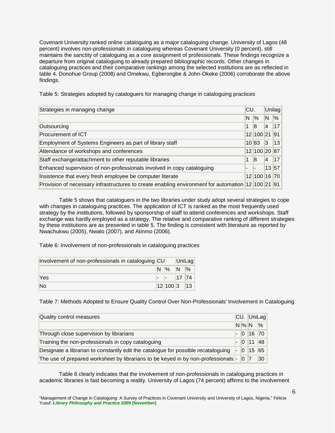Covenant University ranked online cataloguing as a major cataloguing change. University of Lagos (48 percent) involves non-professionals in cataloguing whereas Covenant University (0 percent), still maintains the sanctity of cataloguing as a core assignment of professionals. These findings recognize a departure from original cataloguing to already prepared bibliographic records. Other changes in cataloguing practices and their comparative rankings among the selected institutions are as reflected in table 4. Donohue Group (2008) and Omekwu, Egberongbe & John-Okeke (2006) corroborate the above findings.

Table 5: Strategies adopted by cataloguers for managing change in cataloguing practices

| Strategies in managing change                                                                     |   | ICU.          |    | <b>Unilag</b>   |
|---------------------------------------------------------------------------------------------------|---|---------------|----|-----------------|
|                                                                                                   | N | $\frac{9}{6}$ | ΙN | %               |
| Outsourcing                                                                                       | 1 | 8             | 14 | 17              |
| Procurement of ICT                                                                                |   | 12 100 21 91  |    |                 |
| Employment of Systems Engineers as part of library staff                                          |   | 10 83         | 3  | 13              |
| Attendance of workshops and conferences                                                           |   | 12 100 20 87  |    |                 |
| Staff exchange/attachment to other reputable libraries                                            | 1 | 8             | 14 | 17 <sup>1</sup> |
| Enhanced supervision of non-professionals involved in copy cataloguing                            |   |               |    | 13 57           |
| Insistence that every fresh employee be computer literate                                         |   | 12 100 16 70  |    |                 |
| Provision of necessary infrastructures to create enabling environment for automation 12 100 21 91 |   |               |    |                 |

Table 5 shows that cataloguers in the two libraries under study adopt several strategies to cope with changes in cataloguing practices. The application of ICT is ranked as the most frequently used strategy by the institutions, followed by sponsorship of staff to attend conferences and workshops. Staff exchange was hardly employed as a strategy. The relative and comparative ranking of different strategies by these institutions are as presented in table 5. The finding is consistent with literature as reported by Nwachukwu (2005), Nwalo (2007), and Atinmo (2006).

Table 6: Involvement of non-professionals in cataloguing practices

| Involvement of non-professionals in cataloguing CU |  |                       | UniLag |  |
|----------------------------------------------------|--|-----------------------|--------|--|
|                                                    |  | $N\%$ $N\%$           |        |  |
| Yes                                                |  | $\  - \  17 \  74 \ $ |        |  |
| No                                                 |  | $12 100 3$ 13         |        |  |

Table 7: Methods Adopted to Ensure Quality Control Over Non-Professionals' Involvement in Cataloguing

| Quality control measures                                                              |  | CU. UniLag        |    |
|---------------------------------------------------------------------------------------|--|-------------------|----|
|                                                                                       |  | $N\%N\%$          |    |
| Through close supervision by librarians                                               |  | $ 0 $ 16 70       |    |
| Training the non-professionals in copy cataloguing                                    |  | $-$ 0 11 48       |    |
| Designate a librarian to constantly edit the catalogue for possible recataloguing     |  | $\vert$ - 0 15 65 |    |
| The use of prepared worksheet by librarians to be keyed in by non-professionals - 0 7 |  |                   | 30 |

Table 6 clearly indicates that the involvement of non-professionals in cataloguing practices in academic libraries is fast becoming a reality. University of Lagos (74 percent) affirms to the involvement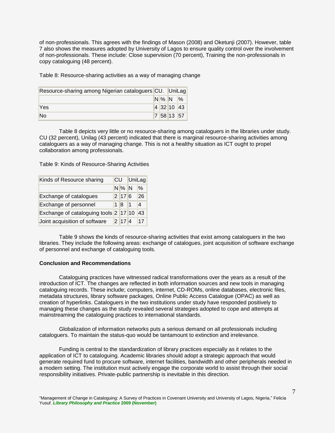of non-professionals. This agrees with the findings of Mason (2008) and Oketunji (2007). However, table 7 also shows the measures adopted by University of Lagos to ensure quality control over the involvement of non-professionals. These include: Close supervision (70 percent), Training the non-professionals in copy cataloguing (48 percent).

Table 8: Resource-sharing activities as a way of managing change

| Resource-sharing among Nigerian cataloguers CU. UniLag |  |  |            |  |
|--------------------------------------------------------|--|--|------------|--|
|                                                        |  |  | $N\%N\%$   |  |
| Yes                                                    |  |  | 4 32 10 43 |  |
| No                                                     |  |  | 7 58 13 57 |  |

Table 8 depicts very little or no resource-sharing among cataloguers in the libraries under study. CU (32 percent), Unilag (43 percent) indicated that there is marginal resource-sharing activities among cataloguers as a way of managing change. This is not a healthy situation as ICT ought to propel collaboration among professionals.

Table 9: Kinds of Resource-Sharing Activities

| Kinds of Resource sharing             | CU |         |    | UniLag |
|---------------------------------------|----|---------|----|--------|
|                                       |    | $N\%$ N |    | %      |
| Exchange of catalogues                |    | 2 17 6  |    | 26     |
| Exchange of personnel                 |    | 1 8     | 11 | 4      |
| Exchange of cataloguing tools 2 17 10 |    |         |    | 43     |
| Joint acquisition of software         |    | 2 17 4  |    |        |

Table 9 shows the kinds of resource-sharing activities that exist among cataloguers in the two libraries. They include the following areas: exchange of catalogues, joint acquisition of software exchange of personnel and exchange of cataloguing tools.

# **Conclusion and Recommendations**

Cataloguing practices have witnessed radical transformations over the years as a result of the introduction of ICT. The changes are reflected in both information sources and new tools in managing cataloguing records. These include; computers, internet, CD-ROMs, online databases, electronic files, metadata structures, library software packages, Online Public Access Catalogue (OPAC) as well as creation of hyperlinks. Cataloguers in the two institutions under study have responded positively to managing these changes as the study revealed several strategies adopted to cope and attempts at mainstreaming the cataloguing practices to international standards.

Globalization of information networks puts a serious demand on all professionals including cataloguers. To maintain the status-quo would be tantamount to extinction and irrelevance.

Funding is central to the standardization of library practices especially as it relates to the application of ICT to cataloguing. Academic libraries should adopt a strategic approach that would generate required fund to procure software, internet facilities, bandwidth and other peripherals needed in a modern setting. The institution must actively engage the corporate world to assist through their social responsibility initiatives. Private-public partnership is inevitable in this direction.